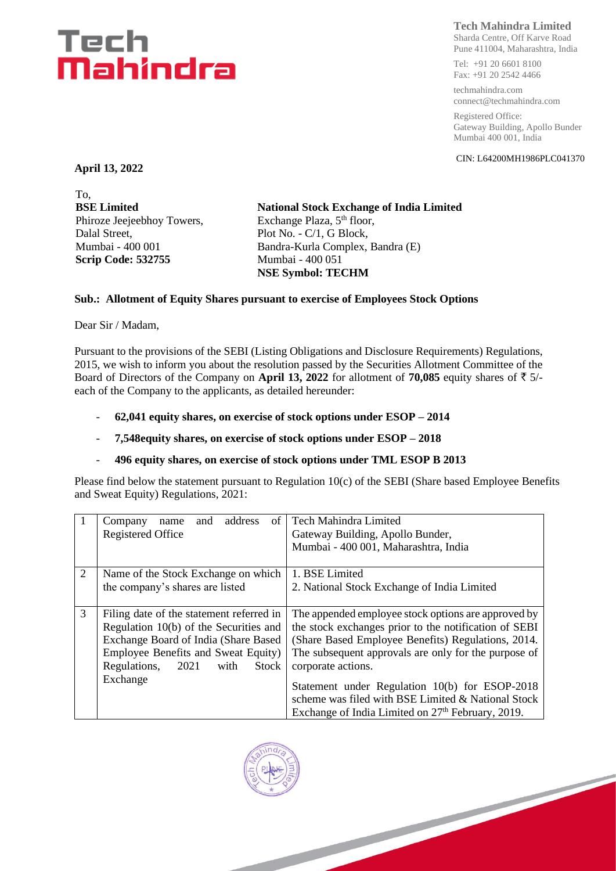# Tech Mahindra

## **Tech Mahindra Limited**

Sharda Centre, Off Karve Road Pune 411004, Maharashtra, India

Tel: +91 20 6601 8100 Fax: +91 20 2542 4466

techmahindra.com connect@techmahindra.com

Registered Office: Gateway Building, Apollo Bunder Mumbai 400 001, India

CIN: L64200MH1986PLC041370

**April 13, 2022**

To, **BSE Limited** Phiroze Jeejeebhoy Towers, Dalal Street, Mumbai - 400 001 **Scrip Code: 532755**

**National Stock Exchange of India Limited** Exchange Plaza, 5<sup>th</sup> floor, Plot No. - C/1, G Block, Bandra-Kurla Complex, Bandra (E) Mumbai - 400 051 **NSE Symbol: TECHM**

#### **Sub.: Allotment of Equity Shares pursuant to exercise of Employees Stock Options**

Dear Sir / Madam,

Pursuant to the provisions of the SEBI (Listing Obligations and Disclosure Requirements) Regulations, 2015, we wish to inform you about the resolution passed by the Securities Allotment Committee of the Board of Directors of the Company on **April 13, 2022** for allotment of **70,085** equity shares of  $\bar{\tau}$  5/each of the Company to the applicants, as detailed hereunder:

- **62,041 equity shares, on exercise of stock options under ESOP – 2014**
- **7,548equity shares, on exercise of stock options under ESOP – 2018**
- **496 equity shares, on exercise of stock options under TML ESOP B 2013**

Please find below the statement pursuant to Regulation 10(c) of the SEBI (Share based Employee Benefits and Sweat Equity) Regulations, 2021:

|   | address<br>of<br>and<br>Company<br>name      | <b>Tech Mahindra Limited</b>                                  |  |  |
|---|----------------------------------------------|---------------------------------------------------------------|--|--|
|   | <b>Registered Office</b>                     | Gateway Building, Apollo Bunder,                              |  |  |
|   |                                              | Mumbai - 400 001, Maharashtra, India                          |  |  |
|   |                                              |                                                               |  |  |
| 2 | Name of the Stock Exchange on which          | 1. BSE Limited                                                |  |  |
|   | the company's shares are listed              | 2. National Stock Exchange of India Limited                   |  |  |
|   |                                              |                                                               |  |  |
| 3 | Filing date of the statement referred in     | The appended employee stock options are approved by           |  |  |
|   | Regulation 10(b) of the Securities and       | the stock exchanges prior to the notification of SEBI         |  |  |
|   | Exchange Board of India (Share Based         | (Share Based Employee Benefits) Regulations, 2014.            |  |  |
|   | Employee Benefits and Sweat Equity)          | The subsequent approvals are only for the purpose of          |  |  |
|   | Regulations,<br><b>Stock</b><br>2021<br>with | corporate actions.                                            |  |  |
|   | Exchange                                     |                                                               |  |  |
|   |                                              | Statement under Regulation 10(b) for ESOP-2018                |  |  |
|   |                                              | scheme was filed with BSE Limited & National Stock            |  |  |
|   |                                              | Exchange of India Limited on 27 <sup>th</sup> February, 2019. |  |  |

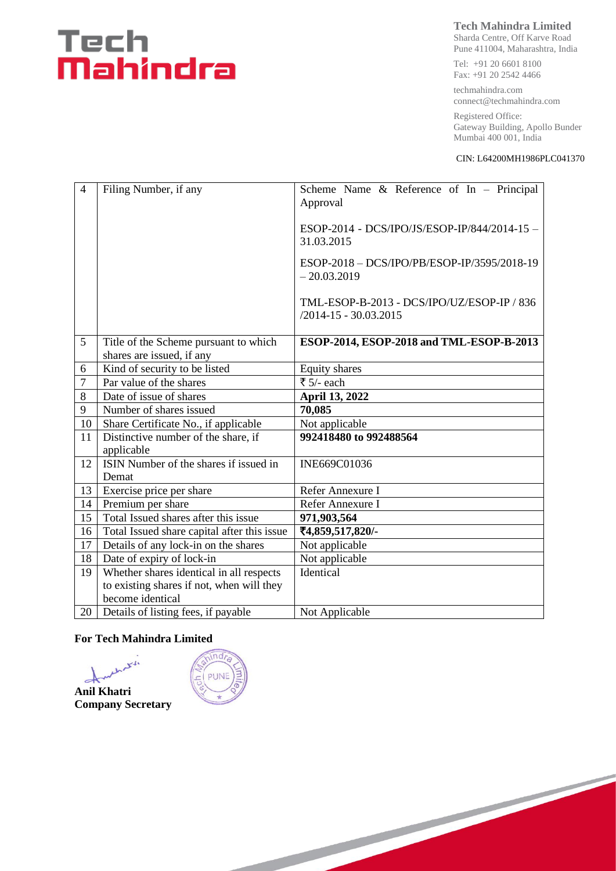# Tech<br>**Mahindra**

### **Tech Mahindra Limited**

Sharda Centre, Off Karve Road Pune 411004, Maharashtra, India

Tel: +91 20 6601 8100 Fax: +91 20 2542 4466

techmahindra.com connect@techmahindra.com

Registered Office: Gateway Building, Apollo Bunder Mumbai 400 001, India

#### CIN: L64200MH1986PLC041370

| $\overline{4}$ | Filing Number, if any                                              | Scheme Name & Reference of In - Principal<br>Approval                   |  |  |
|----------------|--------------------------------------------------------------------|-------------------------------------------------------------------------|--|--|
|                |                                                                    | ESOP-2014 - DCS/IPO/JS/ESOP-IP/844/2014-15 -<br>31.03.2015              |  |  |
|                |                                                                    | ESOP-2018 - DCS/IPO/PB/ESOP-IP/3595/2018-19<br>$-20.03.2019$            |  |  |
|                |                                                                    | TML-ESOP-B-2013 - DCS/IPO/UZ/ESOP-IP / 836<br>$/2014 - 15 - 30.03.2015$ |  |  |
| 5              | Title of the Scheme pursuant to which<br>shares are issued, if any | ESOP-2014, ESOP-2018 and TML-ESOP-B-2013                                |  |  |
| 6              | Kind of security to be listed                                      | Equity shares                                                           |  |  |
| $\overline{7}$ | Par value of the shares                                            | ₹ 5/- each                                                              |  |  |
| 8              | Date of issue of shares                                            | April 13, 2022                                                          |  |  |
| 9              | Number of shares issued                                            | 70,085                                                                  |  |  |
| 10             | Share Certificate No., if applicable                               | Not applicable                                                          |  |  |
| 11             | Distinctive number of the share, if<br>applicable                  | 992418480 to 992488564                                                  |  |  |
| 12             | ISIN Number of the shares if issued in<br>Demat                    | INE669C01036                                                            |  |  |
| 13             | Exercise price per share                                           | Refer Annexure I                                                        |  |  |
| 14             | Premium per share                                                  | Refer Annexure I                                                        |  |  |
| 15             | Total Issued shares after this issue                               | 971,903,564                                                             |  |  |
| 16             | Total Issued share capital after this issue                        | ₹4,859,517,820/-                                                        |  |  |
| 17             | Details of any lock-in on the shares                               | Not applicable                                                          |  |  |
| 18             | Date of expiry of lock-in                                          | Not applicable                                                          |  |  |
| 19             | Whether shares identical in all respects                           | Identical                                                               |  |  |
|                | to existing shares if not, when will they                          |                                                                         |  |  |
|                | become identical                                                   |                                                                         |  |  |
| 20             | Details of listing fees, if payable                                | Not Applicable                                                          |  |  |

#### **For Tech Mahindra Limited**

that is **Anil Khatri Company Secretary**